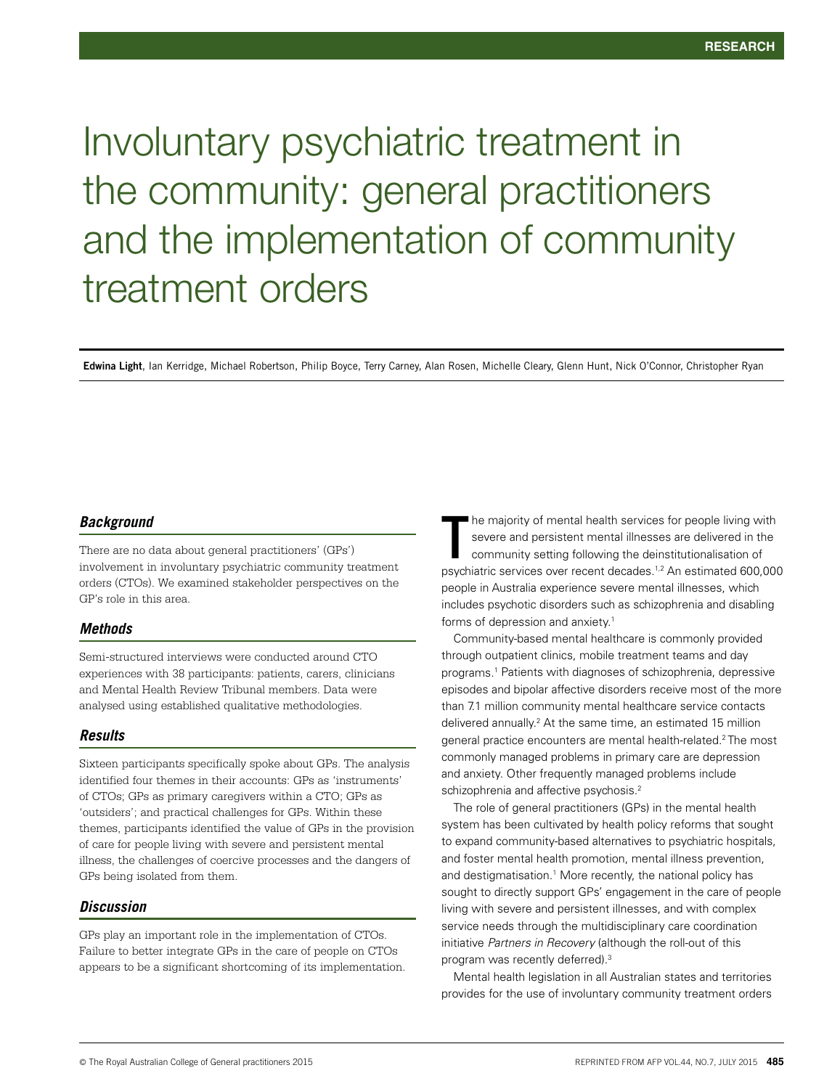# Involuntary psychiatric treatment in the community: general practitioners and the implementation of community treatment orders

**Edwina Light**, Ian Kerridge, Michael Robertson, Philip Boyce, Terry Carney, Alan Rosen, Michelle Cleary, Glenn Hunt, Nick O'Connor, Christopher Ryan

## *Background*

There are no data about general practitioners' (GPs') involvement in involuntary psychiatric community treatment orders (CTOs). We examined stakeholder perspectives on the GP's role in this area.

## *Methods*

Semi-structured interviews were conducted around CTO experiences with 38 participants: patients, carers, clinicians and Mental Health Review Tribunal members. Data were analysed using established qualitative methodologies.

## *Results*

Sixteen participants specifically spoke about GPs. The analysis identified four themes in their accounts: GPs as 'instruments' of CTOs; GPs as primary caregivers within a CTO; GPs as 'outsiders'; and practical challenges for GPs. Within these themes, participants identified the value of GPs in the provision of care for people living with severe and persistent mental illness, the challenges of coercive processes and the dangers of GPs being isolated from them.

## *Discussion*

GPs play an important role in the implementation of CTOs. Failure to better integrate GPs in the care of people on CTOs appears to be a significant shortcoming of its implementation.

he majority of mental health services for people living with severe and persistent mental illnesses are delivered in the community setting following the deinstitutionalisation of The majority of mental health services for people living with<br>severe and persistent mental illnesses are delivered in the<br>community setting following the deinstitutionalisation of<br>psychiatric services over recent decades.<sup></sup> people in Australia experience severe mental illnesses, which includes psychotic disorders such as schizophrenia and disabling forms of depression and anxiety.1

Community-based mental healthcare is commonly provided through outpatient clinics, mobile treatment teams and day programs.1 Patients with diagnoses of schizophrenia, depressive episodes and bipolar affective disorders receive most of the more than 7.1 million community mental healthcare service contacts delivered annually.<sup>2</sup> At the same time, an estimated 15 million general practice encounters are mental health-related.<sup>2</sup> The most commonly managed problems in primary care are depression and anxiety. Other frequently managed problems include schizophrenia and affective psychosis.<sup>2</sup>

The role of general practitioners (GPs) in the mental health system has been cultivated by health policy reforms that sought to expand community-based alternatives to psychiatric hospitals, and foster mental health promotion, mental illness prevention, and destigmatisation.<sup>1</sup> More recently, the national policy has sought to directly support GPs' engagement in the care of people living with severe and persistent illnesses, and with complex service needs through the multidisciplinary care coordination initiative *Partners in Recovery* (although the roll-out of this program was recently deferred).3

Mental health legislation in all Australian states and territories provides for the use of involuntary community treatment orders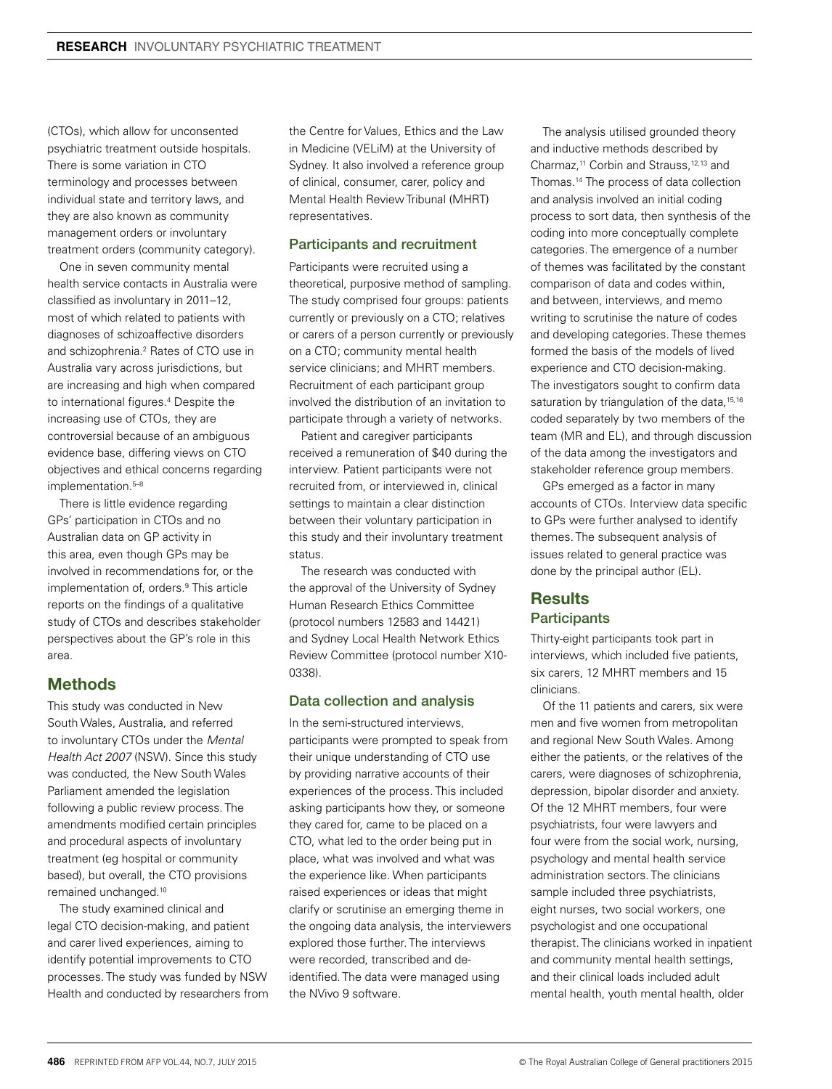(CTOs), which allow for unconsented psychiatric treatment outside hospitals. There is some variation in CTO terminology and processes between individual state and territory laws, and they are also known as community management orders or involuntary treatment orders (community category).

One in seven community mental health service contacts in Australia were classified as involuntary in 2011–12, most of which related to patients with diagnoses of schizoaffective disorders and schizophrenia.<sup>2</sup> Rates of CTO use in Australia vary across jurisdictions, but are increasing and high when compared to international figures.4 Despite the increasing use of CTOs, they are controversial because of an ambiguous evidence base, differing views on CTO objectives and ethical concerns regarding implementation.<sup>5-8</sup>

There is little evidence regarding GPs' participation in CTOs and no Australian data on GP activity in this area, even though GPs may be involved in recommendations for, or the implementation of, orders.9 This article reports on the findings of a qualitative study of CTOs and describes stakeholder perspectives about the GP's role in this area.

# Methods

This study was conducted in New South Wales, Australia, and referred to involuntary CTOs under the *Mental Health Act 2007* (NSW). Since this study was conducted, the New South Wales Parliament amended the legislation following a public review process. The amendments modified certain principles and procedural aspects of involuntary treatment (eg hospital or community based), but overall, the CTO provisions remained unchanged.10

The study examined clinical and legal CTO decision-making, and patient and carer lived experiences, aiming to identify potential improvements to CTO processes. The study was funded by NSW Health and conducted by researchers from the Centre for Values, Ethics and the Law in Medicine (VELiM) at the University of Sydney. It also involved a reference group of clinical, consumer, carer, policy and Mental Health Review Tribunal (MHRT) representatives.

## Participants and recruitment

Participants were recruited using a theoretical, purposive method of sampling. The study comprised four groups: patients currently or previously on a CTO; relatives or carers of a person currently or previously on a CTO; community mental health service clinicians; and MHRT members. Recruitment of each participant group involved the distribution of an invitation to participate through a variety of networks.

Patient and caregiver participants received a remuneration of \$40 during the interview. Patient participants were not recruited from, or interviewed in, clinical settings to maintain a clear distinction between their voluntary participation in this study and their involuntary treatment status.

The research was conducted with the approval of the University of Sydney Human Research Ethics Committee (protocol numbers 12583 and 14421) and Sydney Local Health Network Ethics Review Committee (protocol number X10- 0338).

# Data collection and analysis

In the semi-structured interviews, participants were prompted to speak from their unique understanding of CTO use by providing narrative accounts of their experiences of the process. This included asking participants how they, or someone they cared for, came to be placed on a CTO, what led to the order being put in place, what was involved and what was the experience like. When participants raised experiences or ideas that might clarify or scrutinise an emerging theme in the ongoing data analysis, the interviewers explored those further. The interviews were recorded, transcribed and deidentified. The data were managed using the NVivo 9 software.

The analysis utilised grounded theory and inductive methods described by Charmaz,<sup>11</sup> Corbin and Strauss,<sup>12,13</sup> and Thomas.14 The process of data collection and analysis involved an initial coding process to sort data, then synthesis of the coding into more conceptually complete categories. The emergence of a number of themes was facilitated by the constant comparison of data and codes within, and between, interviews, and memo writing to scrutinise the nature of codes and developing categories. These themes formed the basis of the models of lived experience and CTO decision-making. The investigators sought to confirm data saturation by triangulation of the data, 15,16 coded separately by two members of the team (MR and EL), and through discussion of the data among the investigators and stakeholder reference group members.

GPs emerged as a factor in many accounts of CTOs. Interview data specific to GPs were further analysed to identify themes. The subsequent analysis of issues related to general practice was done by the principal author (EL).

# **Results Participants**

Thirty-eight participants took part in interviews, which included five patients, six carers, 12 MHRT members and 15 clinicians.

Of the 11 patients and carers, six were men and five women from metropolitan and regional New South Wales. Among either the patients, or the relatives of the carers, were diagnoses of schizophrenia, depression, bipolar disorder and anxiety. Of the 12 MHRT members, four were psychiatrists, four were lawyers and four were from the social work, nursing, psychology and mental health service administration sectors. The clinicians sample included three psychiatrists, eight nurses, two social workers, one psychologist and one occupational therapist. The clinicians worked in inpatient and community mental health settings, and their clinical loads included adult mental health, youth mental health, older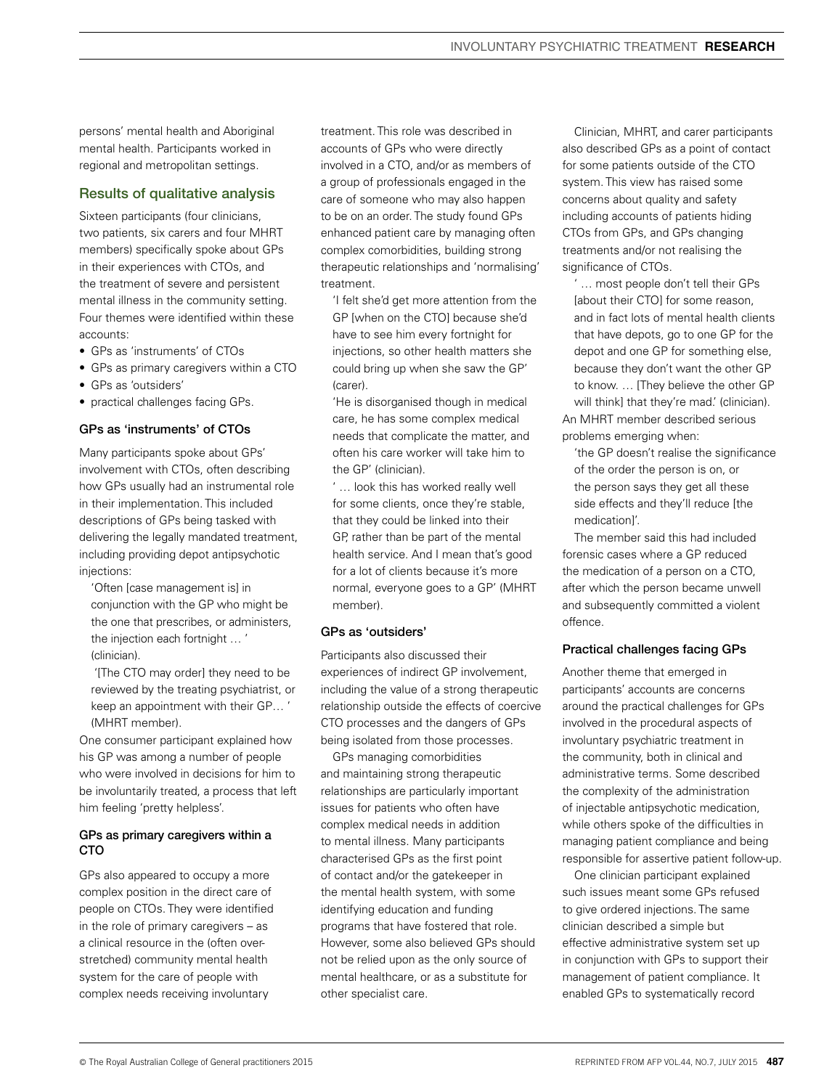persons' mental health and Aboriginal mental health. Participants worked in regional and metropolitan settings.

## Results of qualitative analysis

Sixteen participants (four clinicians, two patients, six carers and four MHRT members) specifically spoke about GPs in their experiences with CTOs, and the treatment of severe and persistent mental illness in the community setting. Four themes were identified within these accounts:

- GPs as 'instruments' of CTOs
- GPs as primary caregivers within a CTO
- GPs as 'outsiders'
- practical challenges facing GPs.

## GPs as 'instruments' of CTOs

Many participants spoke about GPs' involvement with CTOs, often describing how GPs usually had an instrumental role in their implementation. This included descriptions of GPs being tasked with delivering the legally mandated treatment, including providing depot antipsychotic injections:

'Often [case management is] in conjunction with the GP who might be the one that prescribes, or administers, the injection each fortnight … ' (clinician).

 '[The CTO may order] they need to be reviewed by the treating psychiatrist, or keep an appointment with their GP… ' (MHRT member).

One consumer participant explained how his GP was among a number of people who were involved in decisions for him to be involuntarily treated, a process that left him feeling 'pretty helpless'.

## GPs as primary caregivers within a CTO

GPs also appeared to occupy a more complex position in the direct care of people on CTOs. They were identified in the role of primary caregivers – as a clinical resource in the (often overstretched) community mental health system for the care of people with complex needs receiving involuntary

treatment. This role was described in accounts of GPs who were directly involved in a CTO, and/or as members of a group of professionals engaged in the care of someone who may also happen to be on an order. The study found GPs enhanced patient care by managing often complex comorbidities, building strong therapeutic relationships and 'normalising' treatment.

'I felt she'd get more attention from the GP [when on the CTO] because she'd have to see him every fortnight for injections, so other health matters she could bring up when she saw the GP' (carer).

'He is disorganised though in medical care, he has some complex medical needs that complicate the matter, and often his care worker will take him to the GP' (clinician).

' … look this has worked really well for some clients, once they're stable, that they could be linked into their GP, rather than be part of the mental health service. And I mean that's good for a lot of clients because it's more normal, everyone goes to a GP' (MHRT member).

## GPs as 'outsiders'

Participants also discussed their experiences of indirect GP involvement, including the value of a strong therapeutic relationship outside the effects of coercive CTO processes and the dangers of GPs being isolated from those processes.

GPs managing comorbidities and maintaining strong therapeutic relationships are particularly important issues for patients who often have complex medical needs in addition to mental illness. Many participants characterised GPs as the first point of contact and/or the gatekeeper in the mental health system, with some identifying education and funding programs that have fostered that role. However, some also believed GPs should not be relied upon as the only source of mental healthcare, or as a substitute for other specialist care.

Clinician, MHRT, and carer participants also described GPs as a point of contact for some patients outside of the CTO system. This view has raised some concerns about quality and safety including accounts of patients hiding CTOs from GPs, and GPs changing treatments and/or not realising the significance of CTOs.

' … most people don't tell their GPs [about their CTO] for some reason, and in fact lots of mental health clients that have depots, go to one GP for the depot and one GP for something else, because they don't want the other GP to know. … [They believe the other GP will think] that they're mad.' (clinician). An MHRT member described serious problems emerging when:

'the GP doesn't realise the significance of the order the person is on, or the person says they get all these side effects and they'll reduce [the medication]'.

The member said this had included forensic cases where a GP reduced the medication of a person on a CTO, after which the person became unwell and subsequently committed a violent offence.

## Practical challenges facing GPs

Another theme that emerged in participants' accounts are concerns around the practical challenges for GPs involved in the procedural aspects of involuntary psychiatric treatment in the community, both in clinical and administrative terms. Some described the complexity of the administration of injectable antipsychotic medication, while others spoke of the difficulties in managing patient compliance and being responsible for assertive patient follow-up.

One clinician participant explained such issues meant some GPs refused to give ordered injections. The same clinician described a simple but effective administrative system set up in conjunction with GPs to support their management of patient compliance. It enabled GPs to systematically record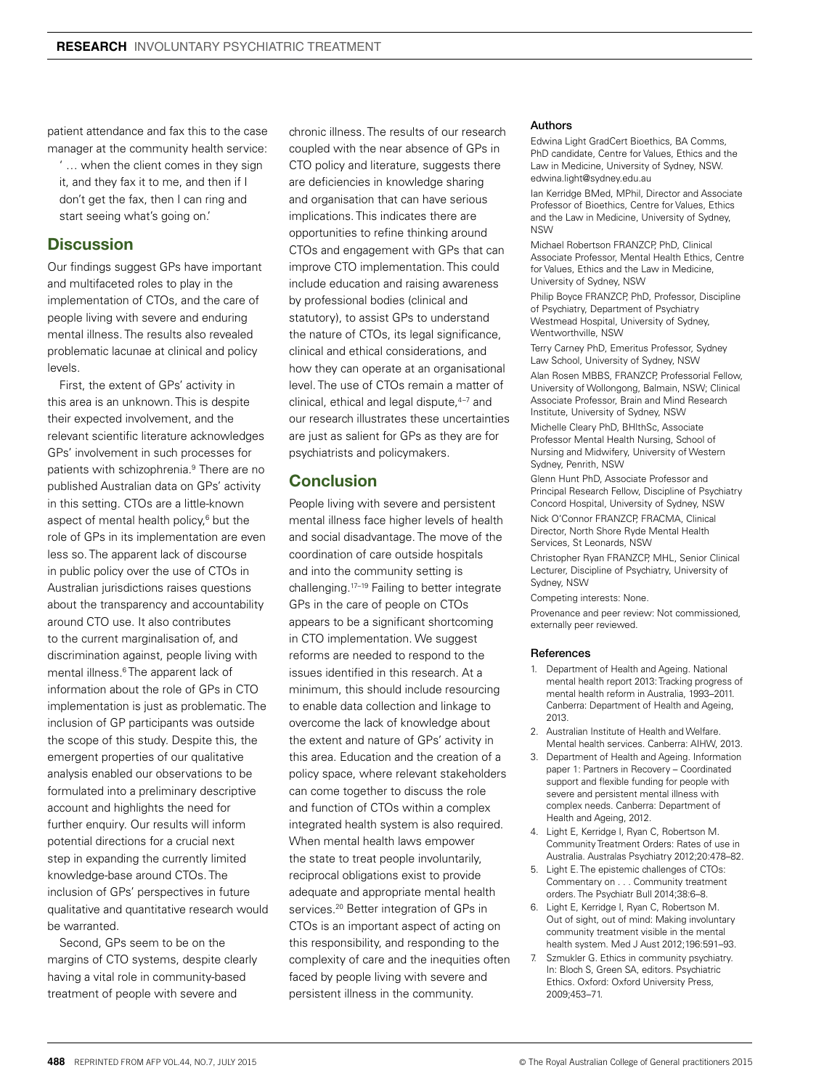patient attendance and fax this to the case manager at the community health service:

' … when the client comes in they sign it, and they fax it to me, and then if I don't get the fax, then I can ring and start seeing what's going on.'

# **Discussion**

Our findings suggest GPs have important and multifaceted roles to play in the implementation of CTOs, and the care of people living with severe and enduring mental illness. The results also revealed problematic lacunae at clinical and policy levels.

First, the extent of GPs' activity in this area is an unknown. This is despite their expected involvement, and the relevant scientific literature acknowledges GPs' involvement in such processes for patients with schizophrenia.<sup>9</sup> There are no published Australian data on GPs' activity in this setting. CTOs are a little-known aspect of mental health policy,<sup>6</sup> but the role of GPs in its implementation are even less so. The apparent lack of discourse in public policy over the use of CTOs in Australian jurisdictions raises questions about the transparency and accountability around CTO use. It also contributes to the current marginalisation of, and discrimination against, people living with mental illness.<sup>6</sup> The apparent lack of information about the role of GPs in CTO implementation is just as problematic. The inclusion of GP participants was outside the scope of this study. Despite this, the emergent properties of our qualitative analysis enabled our observations to be formulated into a preliminary descriptive account and highlights the need for further enquiry. Our results will inform potential directions for a crucial next step in expanding the currently limited knowledge-base around CTOs. The inclusion of GPs' perspectives in future qualitative and quantitative research would be warranted.

Second, GPs seem to be on the margins of CTO systems, despite clearly having a vital role in community-based treatment of people with severe and

chronic illness. The results of our research coupled with the near absence of GPs in CTO policy and literature, suggests there are deficiencies in knowledge sharing and organisation that can have serious implications. This indicates there are opportunities to refine thinking around CTOs and engagement with GPs that can improve CTO implementation. This could include education and raising awareness by professional bodies (clinical and statutory), to assist GPs to understand the nature of CTOs, its legal significance. clinical and ethical considerations, and how they can operate at an organisational level. The use of CTOs remain a matter of clinical, ethical and legal dispute, <sup>4-7</sup> and our research illustrates these uncertainties are just as salient for GPs as they are for psychiatrists and policymakers.

# **Conclusion**

People living with severe and persistent mental illness face higher levels of health and social disadvantage. The move of the coordination of care outside hospitals and into the community setting is challenging.17–19 Failing to better integrate GPs in the care of people on CTOs appears to be a significant shortcoming in CTO implementation. We suggest reforms are needed to respond to the issues identified in this research. At a minimum, this should include resourcing to enable data collection and linkage to overcome the lack of knowledge about the extent and nature of GPs' activity in this area. Education and the creation of a policy space, where relevant stakeholders can come together to discuss the role and function of CTOs within a complex integrated health system is also required. When mental health laws empower the state to treat people involuntarily, reciprocal obligations exist to provide adequate and appropriate mental health services.<sup>20</sup> Better integration of GPs in CTOs is an important aspect of acting on this responsibility, and responding to the complexity of care and the inequities often faced by people living with severe and persistent illness in the community.

#### Authors

Edwina Light GradCert Bioethics, BA Comms, PhD candidate, Centre for Values, Ethics and the Law in Medicine, University of Sydney, NSW. edwina.light@sydney.edu.au

Ian Kerridge BMed, MPhil, Director and Associate Professor of Bioethics, Centre for Values, Ethics and the Law in Medicine, University of Sydney, NSW

Michael Robertson FRANZCP, PhD, Clinical Associate Professor, Mental Health Ethics, Centre for Values, Ethics and the Law in Medicine, University of Sydney, NSW

Philip Boyce FRANZCP, PhD, Professor, Discipline of Psychiatry, Department of Psychiatry Westmead Hospital, University of Sydney, Wentworthville, NSW

Terry Carney PhD, Emeritus Professor, Sydney Law School, University of Sydney, NSW Alan Rosen MBBS, FRANZCP, Professorial Fellow, University of Wollongong, Balmain, NSW; Clinical Associate Professor, Brain and Mind Research Institute, University of Sydney, NSW

Michelle Cleary PhD, BHlthSc, Associate Professor Mental Health Nursing, School of Nursing and Midwifery, University of Western Sydney, Penrith, NSW

Glenn Hunt PhD, Associate Professor and Principal Research Fellow, Discipline of Psychiatry Concord Hospital, University of Sydney, NSW

Nick O'Connor FRANZCP, FRACMA, Clinical Director, North Shore Ryde Mental Health Services, St Leonards, NSW

Christopher Ryan FRANZCP, MHL, Senior Clinical Lecturer, Discipline of Psychiatry, University of Sydney, NSW

Competing interests: None.

Provenance and peer review: Not commissioned, externally peer reviewed.

#### References

- 1. Department of Health and Ageing. National mental health report 2013: Tracking progress of mental health reform in Australia, 1993–2011. Canberra: Department of Health and Ageing, 2013.
- 2. Australian Institute of Health and Welfare. Mental health services. Canberra: AIHW, 2013.
- 3. Department of Health and Ageing. Information paper 1: Partners in Recovery – Coordinated support and flexible funding for people with severe and persistent mental illness with complex needs. Canberra: Department of Health and Ageing, 2012.
- 4. Light E, Kerridge I, Ryan C, Robertson M. Community Treatment Orders: Rates of use in Australia. Australas Psychiatry 2012;20:478–82.
- 5. Light E. The epistemic challenges of CTOs: Commentary on . . . Community treatment orders. The Psychiatr Bull 2014;38:6–8.
- 6. Light E, Kerridge I, Ryan C, Robertson M. Out of sight, out of mind: Making involuntary community treatment visible in the mental health system. Med J Aust 2012;196:591–93.
- 7. Szmukler G. Ethics in community psychiatry. In: Bloch S, Green SA, editors. Psychiatric Ethics. Oxford: Oxford University Press, 2009;453–71.